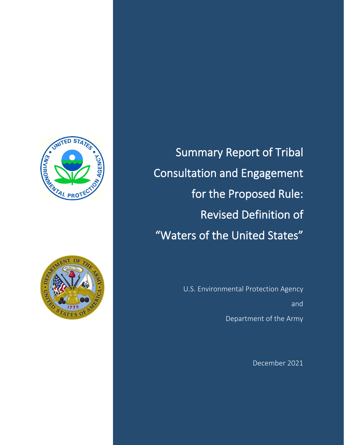



Summary Report of Tribal Consultation and Engagement for the Proposed Rule: Revised Definition of "Waters of the United States"

> U.S. Environmental Protection Agency and Department of the Army

> > December 2021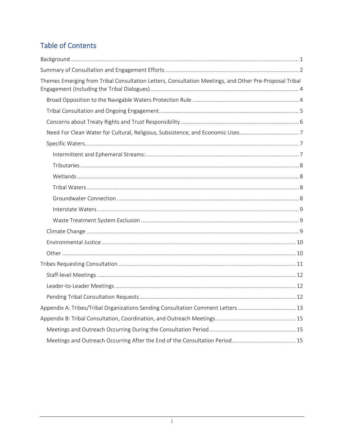# **Table of Contents**

| Themes Emerging from Tribal Consultation Letters, Consultation Meetings, and Other Pre-Proposal Tribal |
|--------------------------------------------------------------------------------------------------------|
|                                                                                                        |
|                                                                                                        |
|                                                                                                        |
| Need For Clean Water for Cultural, Religious, Subsistence, and Economic Uses7                          |
|                                                                                                        |
|                                                                                                        |
|                                                                                                        |
|                                                                                                        |
|                                                                                                        |
|                                                                                                        |
|                                                                                                        |
|                                                                                                        |
|                                                                                                        |
|                                                                                                        |
|                                                                                                        |
|                                                                                                        |
|                                                                                                        |
|                                                                                                        |
|                                                                                                        |
| Appendix A: Tribes/Tribal Organizations Sending Consultation Comment Letters  13                       |
|                                                                                                        |
|                                                                                                        |
|                                                                                                        |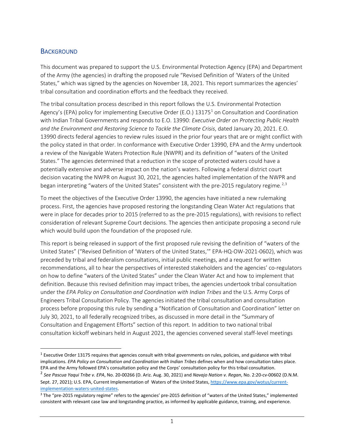#### <span id="page-2-0"></span>**BACKGROUND**

This document was prepared to support the U.S. Environmental Protection Agency (EPA) and Department of the Army (the agencies) in drafting the proposed rule "Revised Definition of 'Waters of the United States," which was signed by the agencies on November 18, 2021. This report summarizes the agencies' tribal consultation and coordination efforts and the feedback they received.

The tribal consultation process described in this report follows the U.S. Environmental Protection Agency's (EPA) policy for implementing Executive Order (E.O.) [1](#page-2-1)3175<sup>1</sup> on Consultation and Coordination with Indian Tribal Governments and responds to E.O. 13990: *Executive Order on Protecting Public Health and the Environment and Restoring Science to Tackle the Climate Crisis*, dated January 20, 2021. E.O. 13990 directs federal agencies to review rules issued in the prior four years that are or might conflict with the policy stated in that order. In conformance with Executive Order 13990, EPA and the Army undertook a review of the Navigable Waters Protection Rule (NWPR) and its definition of "waters of the United States." The agencies determined that a reduction in the scope of protected waters could have a potentially extensive and adverse impact on the nation's waters. Following a federal district court decision vacating the NWPR on August 30, 2021, the agencies halted implementation of the NWPR and began interpreting "waters of the United States" consistent with the pre-[2](#page-2-2)015 regulatory regime.<sup>2,[3](#page-2-3)</sup>

To meet the objectives of the Executive Order 13990, the agencies have initiated a new rulemaking process. First, the agencies have proposed restoring the longstanding Clean Water Act regulations that were in place for decades prior to 2015 (referred to as the pre-2015 regulations), with revisions to reflect consideration of relevant Supreme Court decisions. The agencies then anticipate proposing a second rule which would build upon the foundation of the proposed rule.

This report is being released in support of the first proposed rule revising the definition of "waters of the United States" ("Revised Definition of 'Waters of the United States,'" EPA-HQ-OW-2021-0602), which was preceded by tribal and federalism consultations, initial public meetings, and a request for written recommendations, all to hear the perspectives of interested stakeholders and the agencies' co-regulators on how to define "waters of the United States" under the Clean Water Act and how to implement that definition. Because this revised definition may impact tribes, the agencies undertook tribal consultation under the *EPA Policy on Consultation and Coordination with Indian Tribes* and the U.S. Army Corps of Engineers Tribal Consultation Policy. The agencies initiated the tribal consultation and consultation process before proposing this rule by sending a "Notification of Consultation and Coordination" letter on July 30, 2021, to all federally recognized tribes, as discussed in more detail in the "Summary of Consultation and Engagement Efforts" section of this report. In addition to two national tribal consultation kickoff webinars held in August 2021, the agencies convened several staff-level meetings

<span id="page-2-1"></span> $1$  Executive Order 13175 requires that agencies consult with tribal governments on rules, policies, and guidance with tribal implications. *EPA Policy on Consultation and Coordination with Indian Tribes* defines when and how consultation takes place. EPA and the Army followed EPA's consultation policy and the Corps' consultation policy for this tribal consultation.

<span id="page-2-2"></span><sup>2</sup> *See Pascua Yaqui Tribe v. EPA*, No. 20-00266 (D. Ariz. Aug. 30, 2021) and *Navajo Nation v. Regan*, No. 2:20-cv-00602 (D.N.M. Sept. 27, 2021); U.S. EPA, Current Implementation of Waters of the United States, [https://www.epa.gov/wotus/current-](https://www.epa.gov/wotus/current-implementation-waters-united-states)

<span id="page-2-3"></span>implementation-waters-united-states.<br><sup>3</sup> The "pre-2015 regulatory regime" refers to the agencies' pre-2015 definition of "waters of the United States," implemented consistent with relevant case law and longstanding practice, as informed by applicable guidance, training, and experience.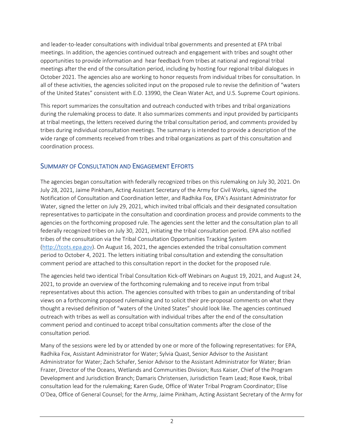and leader-to-leader consultations with individual tribal governments and presented at EPA tribal meetings. In addition, the agencies continued outreach and engagement with tribes and sought other opportunities to provide information and hear feedback from tribes at national and regional tribal meetings after the end of the consultation period, including by hosting four regional tribal dialogues in October 2021. The agencies also are working to honor requests from individual tribes for consultation. In all of these activities, the agencies solicited input on the proposed rule to revise the definition of "waters of the United States" consistent with E.O. 13990, the Clean Water Act, and U.S. Supreme Court opinions.

This report summarizes the consultation and outreach conducted with tribes and tribal organizations during the rulemaking process to date. It also summarizes comments and input provided by participants at tribal meetings, the letters received during the tribal consultation period, and comments provided by tribes during individual consultation meetings. The summary is intended to provide a description of the wide range of comments received from tribes and tribal organizations as part of this consultation and coordination process.

# <span id="page-3-0"></span>SUMMARY OF CONSULTATION AND ENGAGEMENT EFFORTS

The agencies began consultation with federally recognized tribes on this rulemaking on July 30, 2021. On July 28, 2021, Jaime Pinkham, Acting Assistant Secretary of the Army for Civil Works, signed the Notification of Consultation and Coordination letter, and Radhika Fox, EPA's Assistant Administrator for Water, signed the letter on July 29, 2021, which invited tribal officials and their designated consultation representatives to participate in the consultation and coordination process and provide comments to the agencies on the forthcoming proposed rule. The agencies sent the letter and the consultation plan to all federally recognized tribes on July 30, 2021, initiating the tribal consultation period. EPA also notified tribes of the consultation via the Tribal Consultation Opportunities Tracking System [\(http://tcots.epa.gov\)](http://tcots.epa.gov/). On August 16, 2021, the agencies extended the tribal consultation comment period to October 4, 2021. The letters initiating tribal consultation and extending the consultation comment period are attached to this consultation report in the docket for the proposed rule.

The agencies held two identical Tribal Consultation Kick-off Webinars on August 19, 2021, and August 24, 2021, to provide an overview of the forthcoming rulemaking and to receive input from tribal representatives about this action. The agencies consulted with tribes to gain an understanding of tribal views on a forthcoming proposed rulemaking and to solicit their pre-proposal comments on what they thought a revised definition of "waters of the United States" should look like. The agencies continued outreach with tribes as well as consultation with individual tribes after the end of the consultation comment period and continued to accept tribal consultation comments after the close of the consultation period.

Many of the sessions were led by or attended by one or more of the following representatives: for EPA, Radhika Fox, Assistant Administrator for Water; Sylvia Quast, Senior Advisor to the Assistant Administrator for Water; Zach Schafer, Senior Advisor to the Assistant Administrator for Water; Brian Frazer, Director of the Oceans, Wetlands and Communities Division; Russ Kaiser, Chief of the Program Development and Jurisdiction Branch; Damaris Christensen, Jurisdiction Team Lead; Rose Kwok, tribal consultation lead for the rulemaking; Karen Gude, Office of Water Tribal Program Coordinator; Elise O'Dea, Office of General Counsel; for the Army, Jaime Pinkham, Acting Assistant Secretary of the Army for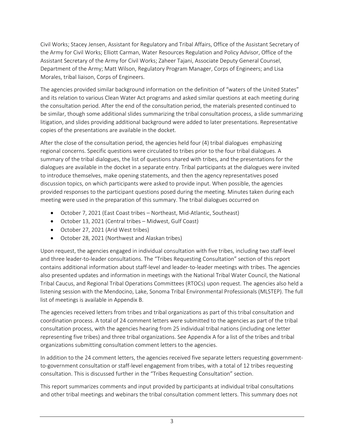Civil Works; Stacey Jensen, Assistant for Regulatory and Tribal Affairs, Office of the Assistant Secretary of the Army for Civil Works; Elliott Carman, Water Resources Regulation and Policy Advisor, Office of the Assistant Secretary of the Army for Civil Works; Zaheer Tajani, Associate Deputy General Counsel, Department of the Army; Matt Wilson, Regulatory Program Manager, Corps of Engineers; and Lisa Morales, tribal liaison, Corps of Engineers.

The agencies provided similar background information on the definition of "waters of the United States" and its relation to various Clean Water Act programs and asked similar questions at each meeting during the consultation period. After the end of the consultation period, the materials presented continued to be similar, though some additional slides summarizing the tribal consultation process, a slide summarizing litigation, and slides providing additional background were added to later presentations. Representative copies of the presentations are available in the docket.

After the close of the consultation period, the agencies held four (4) tribal dialogues emphasizing regional concerns. Specific questions were circulated to tribes prior to the four tribal dialogues. A summary of the tribal dialogues, the list of questions shared with tribes, and the presentations for the dialogues are available in the docket in a separate entry. Tribal participants at the dialogues were invited to introduce themselves, make opening statements, and then the agency representatives posed discussion topics, on which participants were asked to provide input. When possible, the agencies provided responses to the participant questions posed during the meeting. Minutes taken during each meeting were used in the preparation of this summary. The tribal dialogues occurred on

- October 7, 2021 (East Coast tribes Northeast, Mid-Atlantic, Southeast)
- October 13, 2021 (Central tribes Midwest, Gulf Coast)
- October 27, 2021 (Arid West tribes)
- October 28, 2021 (Northwest and Alaskan tribes)

Upon request, the agencies engaged in individual consultation with five tribes, including two staff-level and three leader-to-leader consultations. The "Tribes Requesting Consultation" section of this report contains additional information about staff-level and leader-to-leader meetings with tribes. The agencies also presented updates and information in meetings with the National Tribal Water Council, the National Tribal Caucus, and Regional Tribal Operations Committees (RTOCs) upon request. The agencies also held a listening session with the Mendocino, Lake, Sonoma Tribal Environmental Professionals (MLSTEP). The full list of meetings is available in Appendix B.

The agencies received letters from tribes and tribal organizations as part of this tribal consultation and coordination process. A total of 24 comment letters were submitted to the agencies as part of the tribal consultation process, with the agencies hearing from 25 individual tribal nations (including one letter representing five tribes) and three tribal organizations. See Appendix A for a list of the tribes and tribal organizations submitting consultation comment letters to the agencies.

In addition to the 24 comment letters, the agencies received five separate letters requesting governmentto-government consultation or staff-level engagement from tribes, with a total of 12 tribes requesting consultation. This is discussed further in the "Tribes Requesting Consultation" section.

This report summarizes comments and input provided by participants at individual tribal consultations and other tribal meetings and webinars the tribal consultation comment letters. This summary does not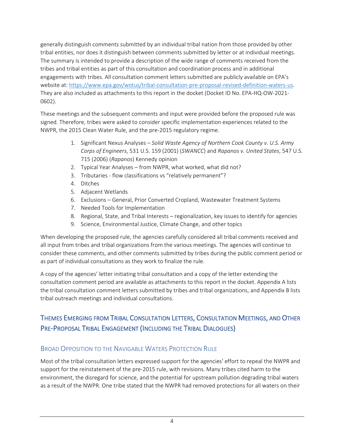generally distinguish comments submitted by an individual tribal nation from those provided by other tribal entities, nor does it distinguish between comments submitted by letter or at individual meetings. The summary is intended to provide a description of the wide range of comments received from the tribes and tribal entities as part of this consultation and coordination process and in additional engagements with tribes. All consultation comment letters submitted are publicly available on EPA's website at: [https://www.epa.gov/wotus/tribal-consultation-pre-proposal-revised-definition-waters-us.](https://www.epa.gov/wotus/tribal-consultation-pre-proposal-revised-definition-waters-us) They are also included as attachments to this report in the docket (Docket ID No. EPA-HQ-OW-2021- 0602).

These meetings and the subsequent comments and input were provided before the proposed rule was signed. Therefore, tribes were asked to consider specific implementation experiences related to the NWPR, the 2015 Clean Water Rule, and the pre-2015 regulatory regime.

- 1. Significant Nexus Analyses *Solid Waste Agency of Northern Cook County v. U.S. Army Corps of Engineers*, 531 U.S. 159 (2001) (*SWANCC*) and *Rapanos v. United States*, 547 U.S. 715 (2006) (*Rapanos*) Kennedy opinion
- 2. Typical Year Analyses from NWPR, what worked, what did not?
- 3. Tributaries flow classifications vs "relatively permanent"?
- 4. Ditches
- 5. Adjacent Wetlands
- 6. Exclusions General, Prior Converted Cropland, Wastewater Treatment Systems
- 7. Needed Tools for Implementation
- 8. Regional, State, and Tribal Interests regionalization, key issues to identify for agencies
- 9. Science, Environmental Justice, Climate Change, and other topics

When developing the proposed rule, the agencies carefully considered all tribal comments received and all input from tribes and tribal organizations from the various meetings. The agencies will continue to consider these comments, and other comments submitted by tribes during the public comment period or as part of individual consultations as they work to finalize the rule.

A copy of the agencies' letter initiating tribal consultation and a copy of the letter extending the consultation comment period are available as attachments to this report in the docket. Appendix A lists the tribal consultation comment letters submitted by tribes and tribal organizations, and Appendix B lists tribal outreach meetings and individual consultations.

# <span id="page-5-0"></span>THEMES EMERGING FROM TRIBAL CONSULTATION LETTERS, CONSULTATION MEETINGS, AND OTHER PRE-PROPOSAL TRIBAL ENGAGEMENT (INCLUDING THE TRIBAL DIALOGUES)

### <span id="page-5-1"></span>BROAD OPPOSITION TO THE NAVIGABLE WATERS PROTECTION RULE

Most of the tribal consultation letters expressed support for the agencies' effort to repeal the NWPR and support for the reinstatement of the pre-2015 rule, with revisions. Many tribes cited harm to the environment, the disregard for science, and the potential for upstream pollution degrading tribal waters as a result of the NWPR. One tribe stated that the NWPR had removed protections for all waters on their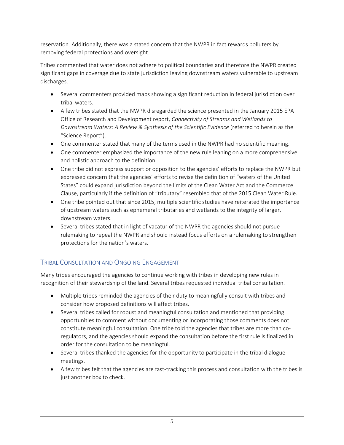reservation. Additionally, there was a stated concern that the NWPR in fact rewards polluters by removing federal protections and oversight.

Tribes commented that water does not adhere to political boundaries and therefore the NWPR created significant gaps in coverage due to state jurisdiction leaving downstream waters vulnerable to upstream discharges.

- Several commenters provided maps showing a significant reduction in federal jurisdiction over tribal waters.
- A few tribes stated that the NWPR disregarded the science presented in the January 2015 EPA Office of Research and Development report, *Connectivity of Streams and Wetlands to Downstream Waters: A Review & Synthesis of the Scientific Evidence* (referred to herein as the "Science Report").
- One commenter stated that many of the terms used in the NWPR had no scientific meaning.
- One commenter emphasized the importance of the new rule leaning on a more comprehensive and holistic approach to the definition.
- One tribe did not express support or opposition to the agencies' efforts to replace the NWPR but expressed concern that the agencies' efforts to revise the definition of "waters of the United States" could expand jurisdiction beyond the limits of the Clean Water Act and the Commerce Clause, particularly if the definition of "tributary" resembled that of the 2015 Clean Water Rule.
- One tribe pointed out that since 2015, multiple scientific studies have reiterated the importance of upstream waters such as ephemeral tributaries and wetlands to the integrity of larger, downstream waters.
- Several tribes stated that in light of vacatur of the NWPR the agencies should not pursue rulemaking to repeal the NWPR and should instead focus efforts on a rulemaking to strengthen protections for the nation's waters.

# <span id="page-6-0"></span>TRIBAL CONSULTATION AND ONGOING ENGAGEMENT

Many tribes encouraged the agencies to continue working with tribes in developing new rules in recognition of their stewardship of the land. Several tribes requested individual tribal consultation.

- Multiple tribes reminded the agencies of their duty to meaningfully consult with tribes and consider how proposed definitions will affect tribes.
- Several tribes called for robust and meaningful consultation and mentioned that providing opportunities to comment without documenting or incorporating those comments does not constitute meaningful consultation. One tribe told the agencies that tribes are more than coregulators, and the agencies should expand the consultation before the first rule is finalized in order for the consultation to be meaningful.
- Several tribes thanked the agencies for the opportunity to participate in the tribal dialogue meetings.
- A few tribes felt that the agencies are fast-tracking this process and consultation with the tribes is just another box to check.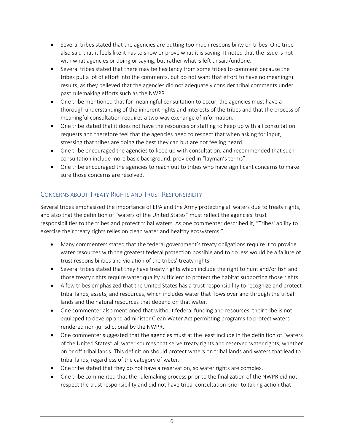- Several tribes stated that the agencies are putting too much responsibility on tribes. One tribe also said that it feels like it has to show or prove what it is saying. It noted that the issue is not with what agencies or doing or saying, but rather what is left unsaid/undone.
- Several tribes stated that there may be hesitancy from some tribes to comment because the tribes put a lot of effort into the comments, but do not want that effort to have no meaningful results, as they believed that the agencies did not adequately consider tribal comments under past rulemaking efforts such as the NWPR.
- One tribe mentioned that for meaningful consultation to occur, the agencies must have a thorough understanding of the inherent rights and interests of the tribes and that the process of meaningful consultation requires a two-way exchange of information.
- One tribe stated that it does not have the resources or staffing to keep up with all consultation requests and therefore feel that the agencies need to respect that when asking for input, stressing that tribes are doing the best they can but are not feeling heard.
- One tribe encouraged the agencies to keep up with consultation, and recommended that such consultation include more basic background, provided in "layman's terms".
- One tribe encouraged the agencies to reach out to tribes who have significant concerns to make sure those concerns are resolved.

# <span id="page-7-0"></span>CONCERNS ABOUT TREATY RIGHTS AND TRUST RESPONSIBILITY

Several tribes emphasized the importance of EPA and the Army protecting all waters due to treaty rights, and also that the definition of "waters of the United States" must reflect the agencies' trust responsibilities to the tribes and protect tribal waters. As one commenter described it, "Tribes' ability to exercise their treaty rights relies on clean water and healthy ecosystems."

- Many commenters stated that the federal government's treaty obligations require it to provide water resources with the greatest federal protection possible and to do less would be a failure of trust responsibilities and violation of the tribes' treaty rights.
- Several tribes stated that they have treaty rights which include the right to hunt and/or fish and those treaty rights require water quality sufficient to protect the habitat supporting those rights.
- A few tribes emphasized that the United States has a trust responsibility to recognize and protect tribal lands, assets, and resources, which includes water that flows over and through the tribal lands and the natural resources that depend on that water.
- One commenter also mentioned that without federal funding and resources, their tribe is not equipped to develop and administer Clean Water Act permitting programs to protect waters rendered non-jurisdictional by the NWPR.
- One commenter suggested that the agencies must at the least include in the definition of "waters of the United States" all water sources that serve treaty rights and reserved water rights, whether on or off tribal lands. This definition should protect waters on tribal lands and waters that lead to tribal lands, regardless of the category of water.
- One tribe stated that they do not have a reservation, so water rights are complex.
- One tribe commented that the rulemaking process prior to the finalization of the NWPR did not respect the trust responsibility and did not have tribal consultation prior to taking action that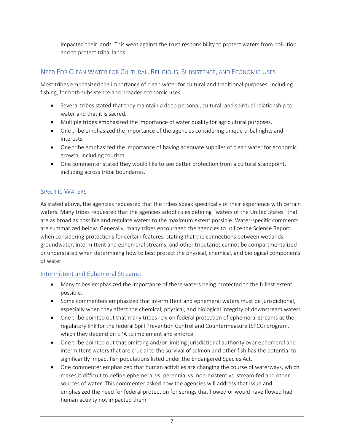impacted their lands. This went against the trust responsibility to protect waters from pollution and to protect tribal lands.

# <span id="page-8-0"></span>NEED FOR CLEAN WATER FOR CULTURAL, RELIGIOUS, SUBSISTENCE, AND ECONOMIC USES

Most tribes emphasized the importance of clean water for cultural and traditional purposes, including fishing, for both subsistence and broader economic uses.

- Several tribes stated that they maintain a deep personal, cultural, and spiritual relationship to water and that it is sacred.
- Multiple tribes emphasized the importance of water quality for agricultural purposes.
- One tribe emphasized the importance of the agencies considering unique tribal rights and interests.
- One tribe emphasized the importance of having adequate supplies of clean water for economic growth, including tourism.
- One commenter stated they would like to see better protection from a cultural standpoint, including across tribal boundaries.

# <span id="page-8-1"></span>**SPECIFIC WATERS**

As stated above, the agencies requested that the tribes speak specifically of their experience with certain waters. Many tribes requested that the agencies adopt rules defining "waters of the United States" that are as broad as possible and regulate waters to the maximum extent possible. Water-specific comments are summarized below. Generally, many tribes encouraged the agencies to utilize the Science Report when considering protections for certain features, stating that the connections between wetlands, groundwater, intermittent and ephemeral streams, and other tributaries cannot be compartmentalized or understated when determining how to best protect the physical, chemical, and biological components of water.

### <span id="page-8-2"></span>Intermittent and Ephemeral Streams:

- Many tribes emphasized the importance of these waters being protected to the fullest extent possible.
- Some commenters emphasized that intermittent and ephemeral waters must be jurisdictional, especially when they affect the chemical, physical, and biological integrity of downstream waters.
- One tribe pointed out that many tribes rely on federal protection of ephemeral streams as the regulatory link for the federal Spill Prevention Control and Countermeasure (SPCC) program, which they depend on EPA to implement and enforce.
- One tribe pointed out that omitting and/or limiting jurisdictional authority over ephemeral and intermittent waters that are crucial to the survival of salmon and other fish has the potential to significantly impact fish populations listed under the Endangered Species Act.
- One commenter emphasized that human activities are changing the course of waterways, which makes it difficult to define ephemeral vs. perennial vs. non-existent vs. stream-fed and other sources of water. This commenter asked how the agencies will address that issue and emphasized the need for federal protection for springs that flowed or would have flowed had human activity not impacted them.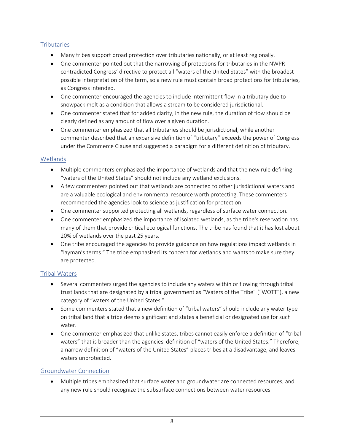#### <span id="page-9-0"></span>**Tributaries**

- Many tribes support broad protection over tributaries nationally, or at least regionally.
- One commenter pointed out that the narrowing of protections for tributaries in the NWPR contradicted Congress' directive to protect all "waters of the United States" with the broadest possible interpretation of the term, so a new rule must contain broad protections for tributaries, as Congress intended.
- One commenter encouraged the agencies to include intermittent flow in a tributary due to snowpack melt as a condition that allows a stream to be considered jurisdictional.
- One commenter stated that for added clarity, in the new rule, the duration of flow should be clearly defined as any amount of flow over a given duration.
- One commenter emphasized that all tributaries should be jurisdictional, while another commenter described that an expansive definition of "tributary" exceeds the power of Congress under the Commerce Clause and suggested a paradigm for a different definition of tributary.

#### <span id="page-9-1"></span>**Wetlands**

- Multiple commenters emphasized the importance of wetlands and that the new rule defining "waters of the United States" should not include any wetland exclusions.
- A few commenters pointed out that wetlands are connected to other jurisdictional waters and are a valuable ecological and environmental resource worth protecting. These commenters recommended the agencies look to science as justification for protection.
- One commenter supported protecting all wetlands, regardless of surface water connection.
- One commenter emphasized the importance of isolated wetlands, as the tribe's reservation has many of them that provide critical ecological functions. The tribe has found that it has lost about 20% of wetlands over the past 25 years.
- One tribe encouraged the agencies to provide guidance on how regulations impact wetlands in "layman's terms." The tribe emphasized its concern for wetlands and wants to make sure they are protected.

#### <span id="page-9-2"></span>Tribal Waters

- Several commenters urged the agencies to include any waters within or flowing through tribal trust lands that are designated by a tribal government as "Waters of the Tribe" ("WOTT"), a new category of "waters of the United States."
- Some commenters stated that a new definition of "tribal waters" should include any water type on tribal land that a tribe deems significant and states a beneficial or designated use for such water.
- One commenter emphasized that unlike states, tribes cannot easily enforce a definition of "tribal waters" that is broader than the agencies' definition of "waters of the United States." Therefore, a narrow definition of "waters of the United States" places tribes at a disadvantage, and leaves waters unprotected.

#### <span id="page-9-3"></span>Groundwater Connection

• Multiple tribes emphasized that surface water and groundwater are connected resources, and any new rule should recognize the subsurface connections between water resources.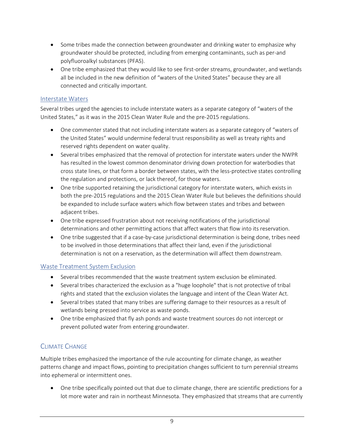- Some tribes made the connection between groundwater and drinking water to emphasize why groundwater should be protected, including from emerging contaminants, such as per-and polyfluoroalkyl substances (PFAS).
- One tribe emphasized that they would like to see first-order streams, groundwater, and wetlands all be included in the new definition of "waters of the United States" because they are all connected and critically important.

#### <span id="page-10-0"></span>Interstate Waters

Several tribes urged the agencies to include interstate waters as a separate category of "waters of the United States," as it was in the 2015 Clean Water Rule and the pre-2015 regulations.

- One commenter stated that not including interstate waters as a separate category of "waters of the United States" would undermine federal trust responsibility as well as treaty rights and reserved rights dependent on water quality.
- Several tribes emphasized that the removal of protection for interstate waters under the NWPR has resulted in the lowest common denominator driving down protection for waterbodies that cross state lines, or that form a border between states, with the less-protective states controlling the regulation and protections, or lack thereof, for those waters.
- One tribe supported retaining the jurisdictional category for interstate waters, which exists in both the pre-2015 regulations and the 2015 Clean Water Rule but believes the definitions should be expanded to include surface waters which flow between states and tribes and between adjacent tribes.
- One tribe expressed frustration about not receiving notifications of the jurisdictional determinations and other permitting actions that affect waters that flow into its reservation.
- One tribe suggested that if a case-by-case jurisdictional determination is being done, tribes need to be involved in those determinations that affect their land, even if the jurisdictional determination is not on a reservation, as the determination will affect them downstream.

#### <span id="page-10-1"></span>Waste Treatment System Exclusion

- Several tribes recommended that the waste treatment system exclusion be eliminated.
- Several tribes characterized the exclusion as a "huge loophole" that is not protective of tribal rights and stated that the exclusion violates the language and intent of the Clean Water Act.
- Several tribes stated that many tribes are suffering damage to their resources as a result of wetlands being pressed into service as waste ponds.
- One tribe emphasized that fly ash ponds and waste treatment sources do not intercept or prevent polluted water from entering groundwater.

### <span id="page-10-2"></span>CLIMATE CHANGE

Multiple tribes emphasized the importance of the rule accounting for climate change, as weather patterns change and impact flows, pointing to precipitation changes sufficient to turn perennial streams into ephemeral or intermittent ones.

• One tribe specifically pointed out that due to climate change, there are scientific predictions for a lot more water and rain in northeast Minnesota. They emphasized that streams that are currently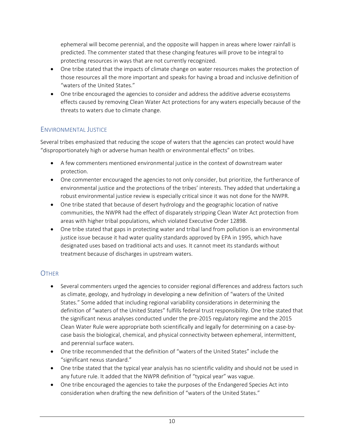ephemeral will become perennial, and the opposite will happen in areas where lower rainfall is predicted. The commenter stated that these changing features will prove to be integral to protecting resources in ways that are not currently recognized.

- One tribe stated that the impacts of climate change on water resources makes the protection of those resources all the more important and speaks for having a broad and inclusive definition of "waters of the United States."
- One tribe encouraged the agencies to consider and address the additive adverse ecosystems effects caused by removing Clean Water Act protections for any waters especially because of the threats to waters due to climate change.

## <span id="page-11-0"></span>ENVIRONMENTAL JUSTICE

Several tribes emphasized that reducing the scope of waters that the agencies can protect would have "disproportionately high or adverse human health or environmental effects" on tribes.

- A few commenters mentioned environmental justice in the context of downstream water protection.
- One commenter encouraged the agencies to not only consider, but prioritize, the furtherance of environmental justice and the protections of the tribes' interests. They added that undertaking a robust environmental justice review is especially critical since it was not done for the NWPR.
- One tribe stated that because of desert hydrology and the geographic location of native communities, the NWPR had the effect of disparately stripping Clean Water Act protection from areas with higher tribal populations, which violated Executive Order 12898.
- One tribe stated that gaps in protecting water and tribal land from pollution is an environmental justice issue because it had water quality standards approved by EPA in 1995, which have designated uses based on traditional acts and uses. It cannot meet its standards without treatment because of discharges in upstream waters.

### <span id="page-11-1"></span>**OTHER**

- Several commenters urged the agencies to consider regional differences and address factors such as climate, geology, and hydrology in developing a new definition of "waters of the United States." Some added that including regional variability considerations in determining the definition of "waters of the United States" fulfills federal trust responsibility. One tribe stated that the significant nexus analyses conducted under the pre-2015 regulatory regime and the 2015 Clean Water Rule were appropriate both scientifically and legally for determining on a case-bycase basis the biological, chemical, and physical connectivity between ephemeral, intermittent, and perennial surface waters.
- One tribe recommended that the definition of "waters of the United States" include the "significant nexus standard."
- One tribe stated that the typical year analysis has no scientific validity and should not be used in any future rule. It added that the NWPR definition of "typical year" was vague.
- One tribe encouraged the agencies to take the purposes of the Endangered Species Act into consideration when drafting the new definition of "waters of the United States."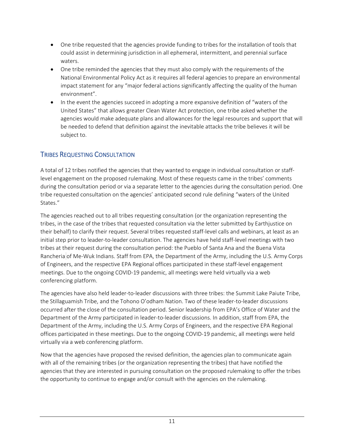- One tribe requested that the agencies provide funding to tribes for the installation of tools that could assist in determining jurisdiction in all ephemeral, intermittent, and perennial surface waters.
- One tribe reminded the agencies that they must also comply with the requirements of the National Environmental Policy Act as it requires all federal agencies to prepare an environmental impact statement for any "major federal actions significantly affecting the quality of the human environment".
- In the event the agencies succeed in adopting a more expansive definition of "waters of the United States" that allows greater Clean Water Act protection, one tribe asked whether the agencies would make adequate plans and allowances for the legal resources and support that will be needed to defend that definition against the inevitable attacks the tribe believes it will be subject to.

## <span id="page-12-0"></span>TRIBES REQUESTING CONSULTATION

A total of 12 tribes notified the agencies that they wanted to engage in individual consultation or stafflevel engagement on the proposed rulemaking. Most of these requests came in the tribes' comments during the consultation period or via a separate letter to the agencies during the consultation period. One tribe requested consultation on the agencies' anticipated second rule defining "waters of the United States."

The agencies reached out to all tribes requesting consultation (or the organization representing the tribes, in the case of the tribes that requested consultation via the letter submitted by Earthjustice on their behalf) to clarify their request. Several tribes requested staff-level calls and webinars, at least as an initial step prior to leader-to-leader consultation. The agencies have held staff-level meetings with two tribes at their request during the consultation period: the Pueblo of Santa Ana and the Buena Vista Rancheria of Me-Wuk Indians. Staff from EPA, the Department of the Army, including the U.S. Army Corps of Engineers, and the respective EPA Regional offices participated in these staff-level engagement meetings. Due to the ongoing COVID-19 pandemic, all meetings were held virtually via a web conferencing platform.

The agencies have also held leader-to-leader discussions with three tribes: the Summit Lake Paiute Tribe, the Stillaguamish Tribe, and the Tohono O'odham Nation. Two of these leader-to-leader discussions occurred after the close of the consultation period. Senior leadership from EPA's Office of Water and the Department of the Army participated in leader-to-leader discussions. In addition, staff from EPA, the Department of the Army, including the U.S. Army Corps of Engineers, and the respective EPA Regional offices participated in these meetings. Due to the ongoing COVID-19 pandemic, all meetings were held virtually via a web conferencing platform.

Now that the agencies have proposed the revised definition, the agencies plan to communicate again with all of the remaining tribes (or the organization representing the tribes) that have notified the agencies that they are interested in pursuing consultation on the proposed rulemaking to offer the tribes the opportunity to continue to engage and/or consult with the agencies on the rulemaking.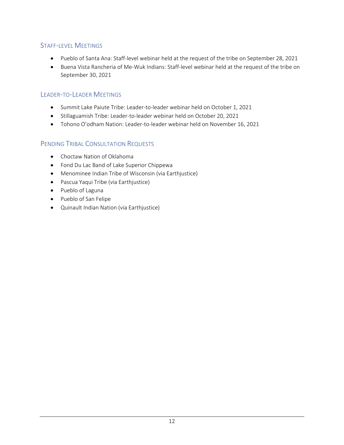### <span id="page-13-0"></span>STAFF-LEVEL MEETINGS

- Pueblo of Santa Ana: Staff-level webinar held at the request of the tribe on September 28, 2021
- Buena Vista Rancheria of Me-Wuk Indians: Staff-level webinar held at the request of the tribe on September 30, 2021

#### <span id="page-13-1"></span>LEADER-TO-LEADER MEETINGS

- Summit Lake Paiute Tribe: Leader-to-leader webinar held on October 1, 2021
- Stillaguamish Tribe: Leader-to-leader webinar held on October 20, 2021
- Tohono O'odham Nation: Leader-to-leader webinar held on November 16, 2021

#### <span id="page-13-2"></span>PENDING TRIBAL CONSULTATION REQUESTS

- Choctaw Nation of Oklahoma
- Fond Du Lac Band of Lake Superior Chippewa
- Menominee Indian Tribe of Wisconsin (via Earthjustice)
- Pascua Yaqui Tribe (via Earthjustice)
- Pueblo of Laguna
- Pueblo of San Felipe
- Quinault Indian Nation (via Earthjustice)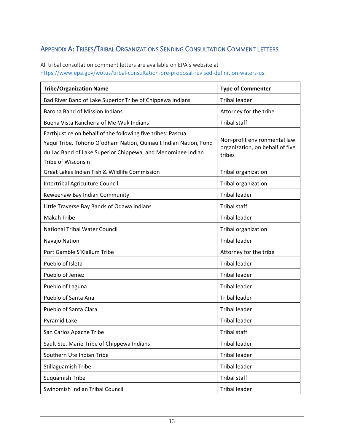# <span id="page-14-0"></span>APPENDIX A: TRIBES/TRIBAL ORGANIZATIONS SENDING CONSULTATION COMMENT LETTERS

All tribal consultation comment letters are available on EPA's website at [https://www.epa.gov/wotus/tribal-consultation-pre-proposal-revised-definition-waters-us.](https://www.epa.gov/wotus/tribal-consultation-pre-proposal-revised-definition-waters-us)

| <b>Tribe/Organization Name</b>                                                                                                                                                                                       | <b>Type of Commenter</b>                                                  |
|----------------------------------------------------------------------------------------------------------------------------------------------------------------------------------------------------------------------|---------------------------------------------------------------------------|
| Bad River Band of Lake Superior Tribe of Chippewa Indians                                                                                                                                                            | <b>Tribal leader</b>                                                      |
| <b>Barona Band of Mission Indians</b>                                                                                                                                                                                | Attorney for the tribe                                                    |
| Buena Vista Rancheria of Me-Wuk Indians                                                                                                                                                                              | <b>Tribal staff</b>                                                       |
| Earthjustice on behalf of the following five tribes: Pascua<br>Yaqui Tribe, Tohono O'odham Nation, Quinault Indian Nation, Fond<br>du Lac Band of Lake Superior Chippewa, and Menominee Indian<br>Tribe of Wisconsin | Non-profit environmental law<br>organization, on behalf of five<br>tribes |
| Great Lakes Indian Fish & Wildlife Commission                                                                                                                                                                        | Tribal organization                                                       |
| Intertribal Agriculture Council                                                                                                                                                                                      | Tribal organization                                                       |
| Keweenaw Bay Indian Community                                                                                                                                                                                        | <b>Tribal leader</b>                                                      |
| Little Traverse Bay Bands of Odawa Indians                                                                                                                                                                           | <b>Tribal staff</b>                                                       |
| <b>Makah Tribe</b>                                                                                                                                                                                                   | <b>Tribal leader</b>                                                      |
| <b>National Tribal Water Council</b>                                                                                                                                                                                 | Tribal organization                                                       |
| Navajo Nation                                                                                                                                                                                                        | <b>Tribal leader</b>                                                      |
| Port Gamble S'Klallum Tribe                                                                                                                                                                                          | Attorney for the tribe                                                    |
| Pueblo of Isleta                                                                                                                                                                                                     | <b>Tribal leader</b>                                                      |
| Pueblo of Jemez                                                                                                                                                                                                      | <b>Tribal leader</b>                                                      |
| Pueblo of Laguna                                                                                                                                                                                                     | <b>Tribal leader</b>                                                      |
| Pueblo of Santa Ana                                                                                                                                                                                                  | <b>Tribal leader</b>                                                      |
| Pueblo of Santa Clara                                                                                                                                                                                                | <b>Tribal leader</b>                                                      |
| Pyramid Lake                                                                                                                                                                                                         | <b>Tribal leader</b>                                                      |
| San Carlos Apache Tribe                                                                                                                                                                                              | Tribal staff                                                              |
| Sault Ste. Marie Tribe of Chippewa Indians                                                                                                                                                                           | <b>Tribal leader</b>                                                      |
| Southern Ute Indian Tribe                                                                                                                                                                                            | <b>Tribal leader</b>                                                      |
| Stillaguamish Tribe                                                                                                                                                                                                  | <b>Tribal leader</b>                                                      |
| Suquamish Tribe                                                                                                                                                                                                      | <b>Tribal staff</b>                                                       |
| Swinomish Indian Tribal Council                                                                                                                                                                                      | <b>Tribal leader</b>                                                      |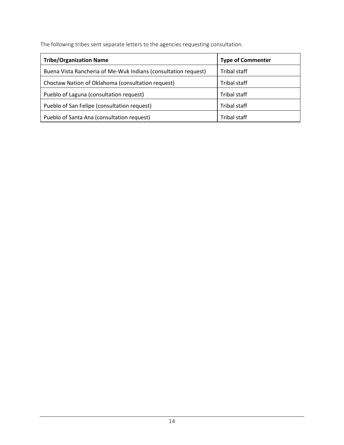The following tribes sent separate letters to the agencies requesting consultation.

| <b>Tribe/Organization Name</b>                                 | <b>Type of Commenter</b> |
|----------------------------------------------------------------|--------------------------|
| Buena Vista Rancheria of Me-Wuk Indians (consultation request) | Tribal staff             |
| Choctaw Nation of Oklahoma (consultation request)              | Tribal staff             |
| Pueblo of Laguna (consultation request)                        | Tribal staff             |
| Pueblo of San Felipe (consultation request)                    | Tribal staff             |
| Pueblo of Santa Ana (consultation request)                     | <b>Tribal staff</b>      |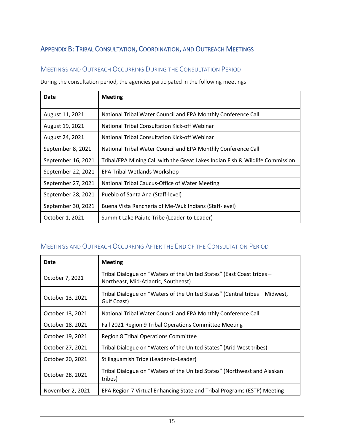# <span id="page-16-0"></span>APPENDIX B: TRIBAL CONSULTATION, COORDINATION, AND OUTREACH MEETINGS

### <span id="page-16-1"></span>MEETINGS AND OUTREACH OCCURRING DURING THE CONSULTATION PERIOD

During the consultation period, the agencies participated in the following meetings:

| Date               | <b>Meeting</b>                                                                |
|--------------------|-------------------------------------------------------------------------------|
| August 11, 2021    | National Tribal Water Council and EPA Monthly Conference Call                 |
| August 19, 2021    | National Tribal Consultation Kick-off Webinar                                 |
| August 24, 2021    | National Tribal Consultation Kick-off Webinar                                 |
| September 8, 2021  | National Tribal Water Council and EPA Monthly Conference Call                 |
| September 16, 2021 | Tribal/EPA Mining Call with the Great Lakes Indian Fish & Wildlife Commission |
| September 22, 2021 | EPA Tribal Wetlands Workshop                                                  |
| September 27, 2021 | National Tribal Caucus-Office of Water Meeting                                |
| September 28, 2021 | Pueblo of Santa Ana (Staff-level)                                             |
| September 30, 2021 | Buena Vista Rancheria of Me-Wuk Indians (Staff-level)                         |
| October 1, 2021    | Summit Lake Paiute Tribe (Leader-to-Leader)                                   |

## <span id="page-16-2"></span>MEETINGS AND OUTREACH OCCURRING AFTER THE END OF THE CONSULTATION PERIOD

| Date             | <b>Meeting</b>                                                                                               |
|------------------|--------------------------------------------------------------------------------------------------------------|
| October 7, 2021  | Tribal Dialogue on "Waters of the United States" (East Coast tribes -<br>Northeast, Mid-Atlantic, Southeast) |
| October 13, 2021 | Tribal Dialogue on "Waters of the United States" (Central tribes – Midwest,<br>Gulf Coast)                   |
| October 13, 2021 | National Tribal Water Council and EPA Monthly Conference Call                                                |
| October 18, 2021 | Fall 2021 Region 9 Tribal Operations Committee Meeting                                                       |
| October 19, 2021 | <b>Region 8 Tribal Operations Committee</b>                                                                  |
| October 27, 2021 | Tribal Dialogue on "Waters of the United States" (Arid West tribes)                                          |
| October 20, 2021 | Stillaguamish Tribe (Leader-to-Leader)                                                                       |
| October 28, 2021 | Tribal Dialogue on "Waters of the United States" (Northwest and Alaskan<br>tribes)                           |
| November 2, 2021 | EPA Region 7 Virtual Enhancing State and Tribal Programs (ESTP) Meeting                                      |